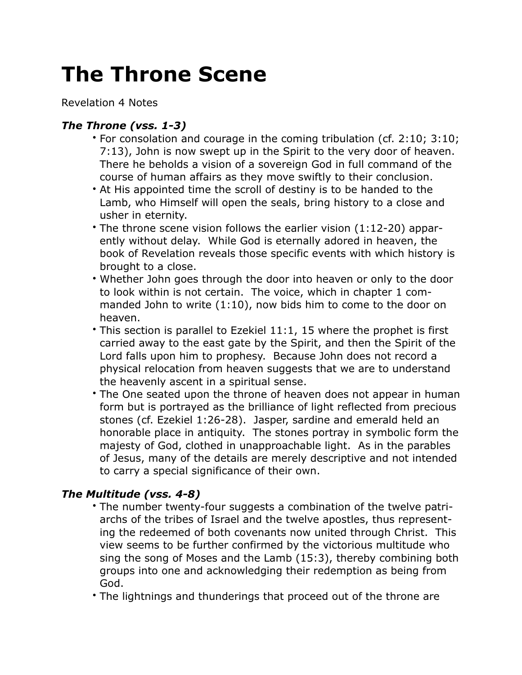## **The Throne Scene**

Revelation 4 Notes

## *The Throne (vss. 1-3)*

- For consolation and courage in the coming tribulation (cf. 2:10; 3:10; 7:13), John is now swept up in the Spirit to the very door of heaven. There he beholds a vision of a sovereign God in full command of the course of human affairs as they move swiftly to their conclusion.
- At His appointed time the scroll of destiny is to be handed to the Lamb, who Himself will open the seals, bring history to a close and usher in eternity.
- The throne scene vision follows the earlier vision (1:12-20) apparently without delay. While God is eternally adored in heaven, the book of Revelation reveals those specific events with which history is brought to a close.
- Whether John goes through the door into heaven or only to the door to look within is not certain. The voice, which in chapter 1 commanded John to write (1:10), now bids him to come to the door on heaven.
- This section is parallel to Ezekiel 11:1, 15 where the prophet is first carried away to the east gate by the Spirit, and then the Spirit of the Lord falls upon him to prophesy. Because John does not record a physical relocation from heaven suggests that we are to understand the heavenly ascent in a spiritual sense.
- The One seated upon the throne of heaven does not appear in human form but is portrayed as the brilliance of light reflected from precious stones (cf. Ezekiel 1:26-28). Jasper, sardine and emerald held an honorable place in antiquity. The stones portray in symbolic form the majesty of God, clothed in unapproachable light. As in the parables of Jesus, many of the details are merely descriptive and not intended to carry a special significance of their own.

## *The Multitude (vss. 4-8)*

- The number twenty-four suggests a combination of the twelve patriarchs of the tribes of Israel and the twelve apostles, thus representing the redeemed of both covenants now united through Christ. This view seems to be further confirmed by the victorious multitude who sing the song of Moses and the Lamb (15:3), thereby combining both groups into one and acknowledging their redemption as being from God.
- The lightnings and thunderings that proceed out of the throne are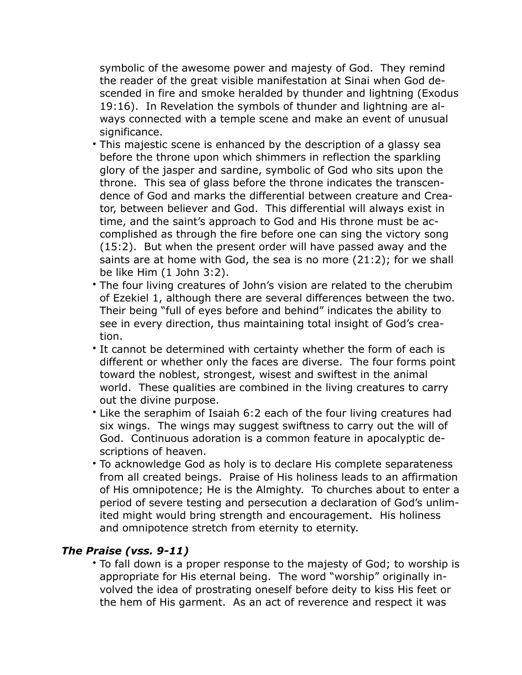symbolic of the awesome power and majesty of God. They remind the reader of the great visible manifestation at Sinai when God descended in fire and smoke heralded by thunder and lightning (Exodus 19:16). In Revelation the symbols of thunder and lightning are always connected with a temple scene and make an event of unusual significance.

- This majestic scene is enhanced by the description of a glassy sea before the throne upon which shimmers in reflection the sparkling glory of the jasper and sardine, symbolic of God who sits upon the throne. This sea of glass before the throne indicates the transcendence of God and marks the differential between creature and Creator, between believer and God. This differential will always exist in time, and the saint's approach to God and His throne must be accomplished as through the fire before one can sing the victory song (15:2). But when the present order will have passed away and the saints are at home with God, the sea is no more (21:2); for we shall be like Him (1 John 3:2).
- The four living creatures of John's vision are related to the cherubim of Ezekiel 1, although there are several differences between the two. Their being "full of eyes before and behind" indicates the ability to see in every direction, thus maintaining total insight of God's creation.
- It cannot be determined with certainty whether the form of each is different or whether only the faces are diverse. The four forms point toward the noblest, strongest, wisest and swiftest in the animal world. These qualities are combined in the living creatures to carry out the divine purpose.
- Like the seraphim of Isaiah 6:2 each of the four living creatures had six wings. The wings may suggest swiftness to carry out the will of God. Continuous adoration is a common feature in apocalyptic descriptions of heaven.
- To acknowledge God as holy is to declare His complete separateness from all created beings. Praise of His holiness leads to an affirmation of His omnipotence; He is the Almighty. To churches about to enter a period of severe testing and persecution a declaration of God's unlimited might would bring strength and encouragement. His holiness and omnipotence stretch from eternity to eternity.

## *The Praise (vss. 9-11)*

• To fall down is a proper response to the majesty of God; to worship is appropriate for His eternal being. The word "worship" originally involved the idea of prostrating oneself before deity to kiss His feet or the hem of His garment. As an act of reverence and respect it was